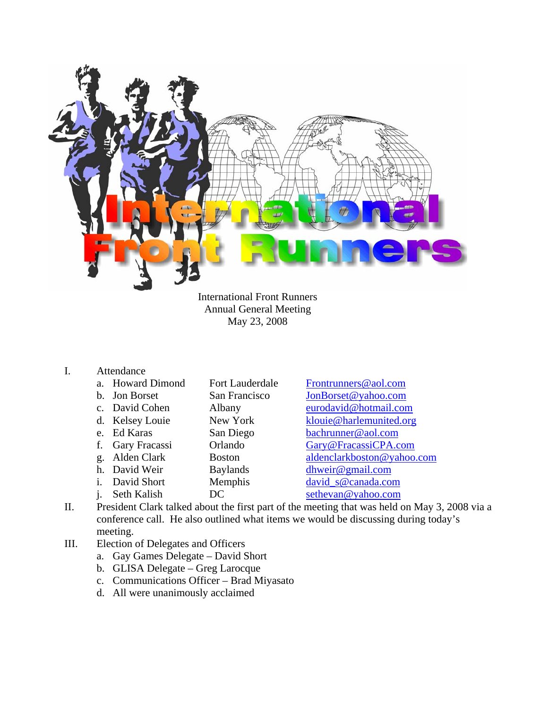

International Front Runners Annual General Meeting May 23, 2008

- I. Attendance
	- a. Howard Dimond Fort Lauderdale Frontrunners@aol.com
		-
	-
	-
	-
	- - -
	- i. David Short Memphis david\_s@canada.com
	- j. Seth Kalish DC sethevan@yahoo.com
	- b. Jon Borset San Francisco JonBorset@yahoo.com c. David Cohen Albany eurodavid@hotmail.com d. Kelsey Louie New York klouie@harlemunited.org e. Ed Karas San Diego bachrunner@aol.com f. Gary Fracassi Orlando Gary@FracassiCPA.com g. Alden Clark Boston aldenclarkboston@yahoo.com h. David Weir Baylands dhweir@gmail.com
		-
- II. President Clark talked about the first part of the meeting that was held on May 3, 2008 via a conference call. He also outlined what items we would be discussing during today's meeting.
- III. Election of Delegates and Officers
	- a. Gay Games Delegate David Short
	- b. GLISA Delegate Greg Larocque
	- c. Communications Officer Brad Miyasato
	- d. All were unanimously acclaimed
- 
- 
- 
- 
-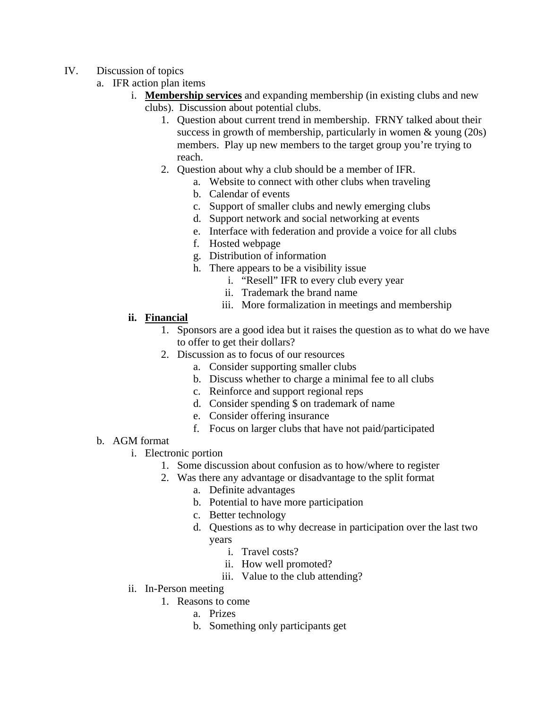- IV. Discussion of topics
	- a. IFR action plan items
		- i. **Membership services** and expanding membership (in existing clubs and new clubs). Discussion about potential clubs.
			- 1. Question about current trend in membership. FRNY talked about their success in growth of membership, particularly in women & young (20s) members. Play up new members to the target group you're trying to reach.
			- 2. Question about why a club should be a member of IFR.
				- a. Website to connect with other clubs when traveling
				- b. Calendar of events
				- c. Support of smaller clubs and newly emerging clubs
				- d. Support network and social networking at events
				- e. Interface with federation and provide a voice for all clubs
				- f. Hosted webpage
				- g. Distribution of information
				- h. There appears to be a visibility issue
					- i. "Resell" IFR to every club every year
					- ii. Trademark the brand name
					- iii. More formalization in meetings and membership

## **ii. Financial**

- 1. Sponsors are a good idea but it raises the question as to what do we have to offer to get their dollars?
- 2. Discussion as to focus of our resources
	- a. Consider supporting smaller clubs
	- b. Discuss whether to charge a minimal fee to all clubs
	- c. Reinforce and support regional reps
	- d. Consider spending \$ on trademark of name
	- e. Consider offering insurance
	- f. Focus on larger clubs that have not paid/participated

## b. AGM format

- i. Electronic portion
	- 1. Some discussion about confusion as to how/where to register
	- 2. Was there any advantage or disadvantage to the split format
		- a. Definite advantages
		- b. Potential to have more participation
		- c. Better technology
		- d. Questions as to why decrease in participation over the last two years
			- i. Travel costs?
			- ii. How well promoted?
			- iii. Value to the club attending?
- ii. In-Person meeting
	- 1. Reasons to come
		- a. Prizes
		- b. Something only participants get